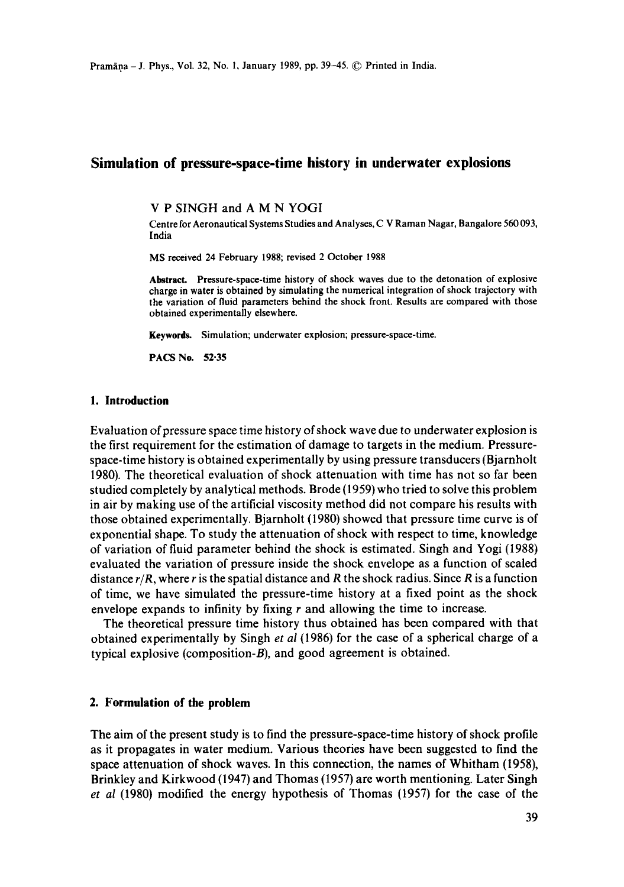# **Simulation of pressure-space-time history in underwater explosions**

V P SINGH and A M N YOGI

Centre for Aeronautical Systems Studies and Analyses, C V Raman Nagar, Bangalore 560 093, India

MS received 24 February 1988; revised 2 October 1988

**Abstract. Pressure-space-time** history of shock waves due to the detonation of explosive charge in water is obtained by simulating the numerical integration of shock trajectory with **the** variation of fluid parameters behind the shock front. Results are compared with those obtained experimentally elsewhere.

**Keywords.** Simulation; underwater explosion; pressure-space-time.

PACS No. **52.35** 

#### **1. Introduction**

Evaluation of pressure space time history of shock wave due to underwater explosion is the first requirement for the estimation of damage to targets in the medium. Pressurespace-time history is obtained experimentally by using pressure transducers (Bjarnholt 1980). The theoretical evaluation of shock attenuation with time has not so far been studied completely by analytical methods. Brode (1959) who tried to solve this problem in air by making use of the artificial viscosity method did not compare his results with those obtained experimentally. Bjarnholt (1980) showed that pressure time curve is of exponential shape. To study the attenuation of shock with respect to time, knowledge of variation of fluid parameter behind the shock is estimated. Singh and Yogi (1988) evaluated the variation of pressure inside the shock envelope as a function of scaled distance  $r/R$ , where r is the spatial distance and R the shock radius. Since R is a function of time, we have simulated the pressure-time history at a fixed point as the shock envelope expands to infinity by fixing  $r$  and allowing the time to increase.

The theoretical pressure time history thus obtained has been compared with that obtained experimentally by Singh *et al* (1986) for the case of a spherical charge of a typical explosive (composition-B), and good agreement is obtained.

### **2. Formulation of the problem**

The aim of the present study is to find the pressure-space-time history of shock profile as it propagates in water medium. Various theories have been suggested to find the space attenuation of shock waves. In this connection, the names of Whitham (1958), Brinkley and Kirkwood (1947) and Thomas (1957) are worth mentioning. Later Singh *et al* (1980) modified the energy hypothesis of Thomas (1957) for the case of the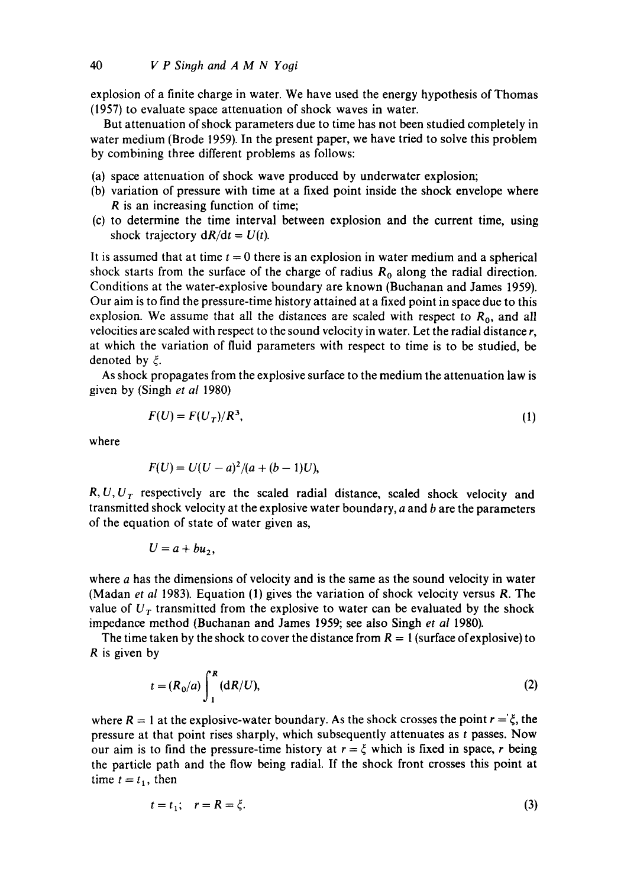explosion of a finite charge in water. We have used the energy hypothesis of Thomas (1957) to evaluate space attenuation of shock waves in water.

But attenuation of shock parameters due to time has not been studied completely in water medium (Brode 1959). In the present paper, we have tried to solve this problem by combining three different problems as follows:

- (a) space attenuation of shock wave produced by underwater explosion;
- (b) variation of pressure with time at a fixed point inside the shock envelope where R is an increasing function of time;
- (c) to determine the time interval between explosion and the current time, using shock trajectory  $dR/dt = U(t)$ .

It is assumed that at time  $t = 0$  there is an explosion in water medium and a spherical shock starts from the surface of the charge of radius  $R_0$  along the radial direction. Conditions at the water-explosive boundary are known (Buchanan and James 1959). Our aim is to find the pressure-time history attained at a fixed point in space due to this explosion. We assume that all the distances are scaled with respect to  $R_0$ , and all velocities are scaled with respect to the sound velocity in water. Let the radial distance r, at which the variation of fluid parameters with respect to time is to be studied, be denoted by  $\xi$ .

As shock propagates from the explosive surface to the medium the attenuation law is given by (Singh *et al* 1980)

$$
F(U) = F(U_T)/R^3,\tag{1}
$$

where

$$
F(U) = U(U - a)^2/(a + (b - 1)U),
$$

*R, U, U<sub>T</sub>* respectively are the scaled radial distance, scaled shock velocity and transmitted shock velocity at the explosive water boundary,  $a$  and  $b$  are the parameters of the equation of state of water given as,

$$
U=a+bu_2,
$$

where a has the dimensions of velocity and is the same as the sound velocity in water (Madan *et al* 1983). Equation (1) gives the variation of shock velocity versus R. The value of  $U_T$  transmitted from the explosive to water can be evaluated by the shock impedance method (Buchanan and James 1959; see also Singh *et al* 1980).

The time taken by the shock to cover the distance from  $R = 1$  (surface of explosive) to R is given by

$$
t = (R_0/a) \int_1^R (dR/U), \tag{2}
$$

where  $R = 1$  at the explosive-water boundary. As the shock crosses the point  $r = \xi$ , the pressure at that point rises sharply, which subsequently attenuates as t passes. Now our aim is to find the pressure-time history at  $r = \xi$  which is fixed in space, r being the particle path and the flow being radial. If the shock front crosses this point at time  $t = t_1$ , then

$$
t = t_1; \quad r = R = \xi. \tag{3}
$$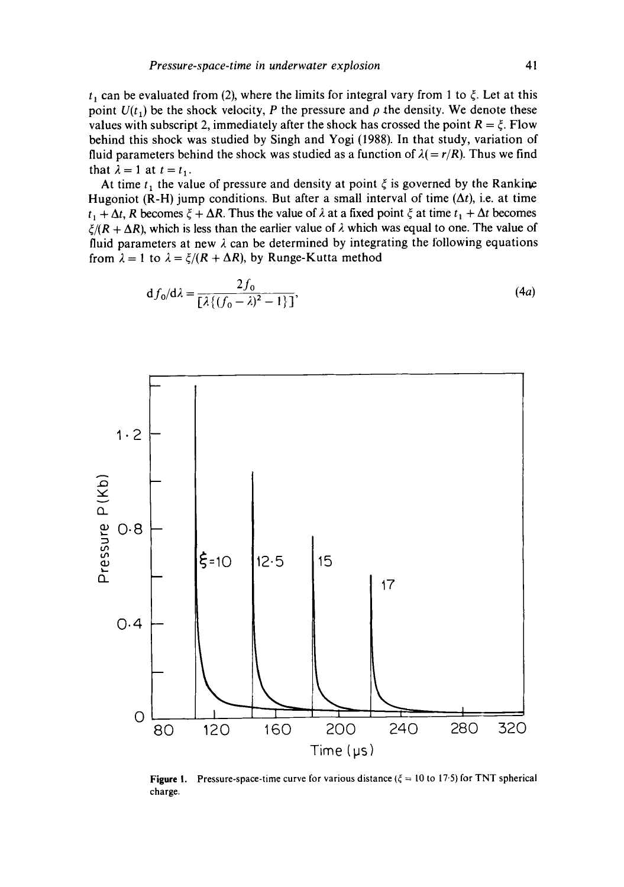$t_1$  can be evaluated from (2), where the limits for integral vary from 1 to  $\xi$ . Let at this point  $U(t_1)$  be the shock velocity, P the pressure and  $\rho$  the density. We denote these values with subscript 2, immediately after the shock has crossed the point  $R = \xi$ . Flow behind this shock was studied by Singh and Yogi (1988). In that study, variation of fluid parameters behind the shock was studied as a function of  $\lambda (= r/R)$ . Thus we find that  $\lambda=1$  at  $t=t_1$ .

At time  $t_1$ , the value of pressure and density at point  $\zeta$  is governed by the Rankine Hugoniot (R-H) jump conditions. But after a small interval of time  $(\Delta t)$ , i.e. at time  $t_1 + \Delta t$ , R becomes  $\xi + \Delta R$ . Thus the value of  $\lambda$  at a fixed point  $\xi$  at time  $t_1 + \Delta t$  becomes  $\zeta/(R + \Delta R)$ , which is less than the earlier value of  $\lambda$  which was equal to one. The value of fluid parameters at new  $\lambda$  can be determined by integrating the following equations from  $\lambda = 1$  to  $\lambda = \xi/(R + \Delta R)$ , by Runge-Kutta method

$$
df_0/d\lambda = \frac{2f_0}{\left[\lambda\left\{(f_0 - \lambda)^2 - 1\right\}\right]},
$$
\n(4*a*)



**Figure I.**  charge. Pressure-space-time curve for various distance ( $\xi = 10$  to 17.5) for TNT spherical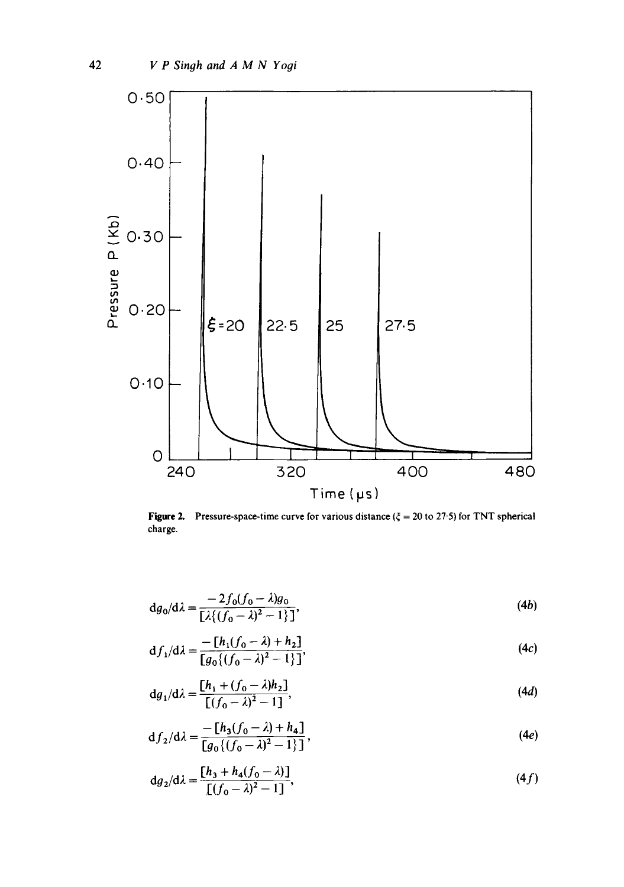

Figure 2. Pressure-space-time curve for various distance ( $\xi = 20$  to 27.5) for TNT spherical charge.

$$
dg_0/d\lambda = \frac{-2f_0(f_0 - \lambda)g_0}{\left[\lambda\left\{(f_0 - \lambda)^2 - 1\right\}\right]},
$$
\n(4b)

$$
df_1/d\lambda = \frac{-[h_1(f_0 - \lambda) + h_2]}{[g_0((f_0 - \lambda)^2 - 1)]},
$$
\n(4c)

$$
dg_1/d\lambda = \frac{[h_1 + (f_0 - \lambda)h_2]}{[(f_0 - \lambda)^2 - 1]},
$$
\n(4*d*)

$$
df_2/d\lambda = \frac{-[h_3(f_0 - \lambda) + h_4]}{[g_0\{(f_0 - \lambda)^2 - 1\}]},
$$
\n(4*e*)

$$
dg_2/d\lambda = \frac{[h_3 + h_4(f_0 - \lambda)]}{[(f_0 - \lambda)^2 - 1]},
$$
\n(4f)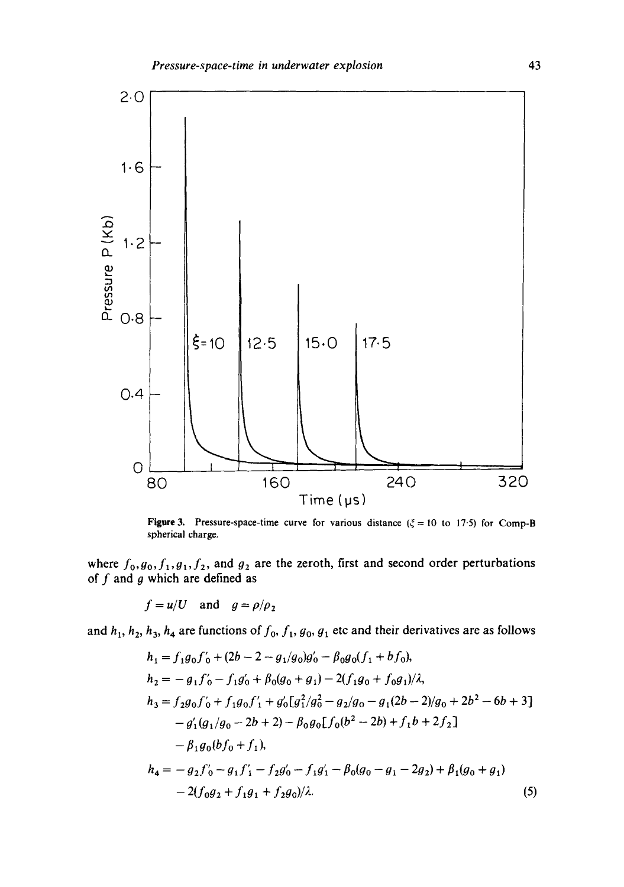

**Figure 3.** Pressure-space-time curve for various distance ( $\xi = 10$  to 17.5) for Comp-B spherical charge.

where  $f_0, g_0, f_1, g_1, f_2$ , and  $g_2$  are the zeroth, first and second order perturbations of  $f$  and  $g$  which are defined as

$$
f = u/U
$$
 and  $g = \rho/\rho_2$ 

and  $h_1$ ,  $h_2$ ,  $h_3$ ,  $h_4$  are functions of  $f_0$ ,  $f_1$ ,  $g_0$ ,  $g_1$  etc and their derivatives are as follows

$$
h_1 = f_1 g_0 f'_0 + (2b - 2 - g_1/g_0)g'_0 - \beta_0 g_0 (f_1 + bf_0),
$$
  
\n
$$
h_2 = -g_1 f'_0 - f_1 g'_0 + \beta_0 (g_0 + g_1) - 2(f_1 g_0 + f_0 g_1)/\lambda,
$$
  
\n
$$
h_3 = f_2 g_0 f'_0 + f_1 g_0 f'_1 + g'_0 [g_1^2/g_0^2 - g_2/g_0 - g_1 (2b - 2)/g_0 + 2b^2 - 6b + 3]
$$
  
\n
$$
- g'_1 (g_1/g_0 - 2b + 2) - \beta_0 g_0 [f_0 (b^2 - 2b) + f_1 b + 2f_2]
$$
  
\n
$$
- \beta_1 g_0 (b f_0 + f_1),
$$
  
\n
$$
h_4 = -g_2 f'_0 - g_1 f'_1 - f_2 g'_0 - f_1 g'_1 - \beta_0 (g_0 - g_1 - 2g_2) + \beta_1 (g_0 + g_1)
$$
  
\n
$$
- 2(f_0 g_2 + f_1 g_1 + f_2 g_0)/\lambda.
$$
  
\n(5)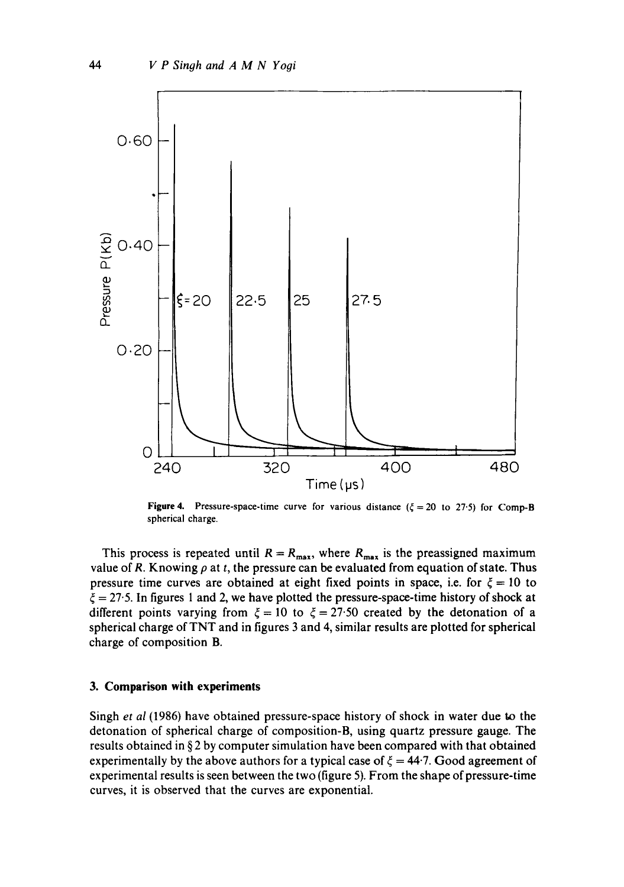

**Figure 4.** Pressure-space-time curve for various distance  $(\xi = 20 \text{ to } 27.5)$  for Comp-B spherical charge.

This process is repeated until  $R = R_{\text{max}}$ , where  $R_{\text{max}}$  is the preassigned maximum value of R. Knowing  $\rho$  at t, the pressure can be evaluated from equation of state. Thus pressure time curves are obtained at eight fixed points in space, i.e. for  $\xi = 10$  to  $\xi = 27.5$ . In figures 1 and 2, we have plotted the pressure-space-time history of shock at different points varying from  $\xi = 10$  to  $\xi = 27.50$  created by the detonation of a spherical charge of TNT and in figures 3 and 4, similar results are plotted for spherical charge of composition B.

### **3. Comparison with experiments**

Singh *et al* (1986) have obtained pressure-space history of shock in water due to the detonation of spherical charge of composition-B, using quartz pressure gauge. The results obtained in § 2 by computer simulation have been compared with that obtained experimentally by the above authors for a typical case of  $\xi = 44.7$ . Good agreement of experimental results is seen between the two (figure 5). From the shape of pressure-time curves, it is observed that the curves are exponential.